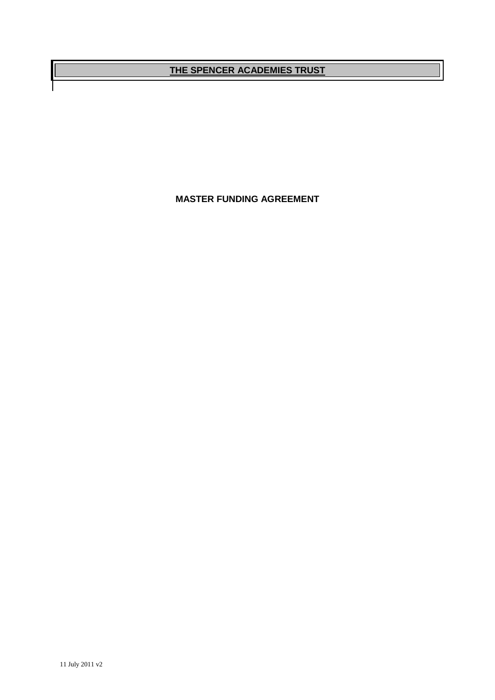# **THE SPENCER ACADEMIES TRUST**

**MASTER FUNDING AGREEMENT**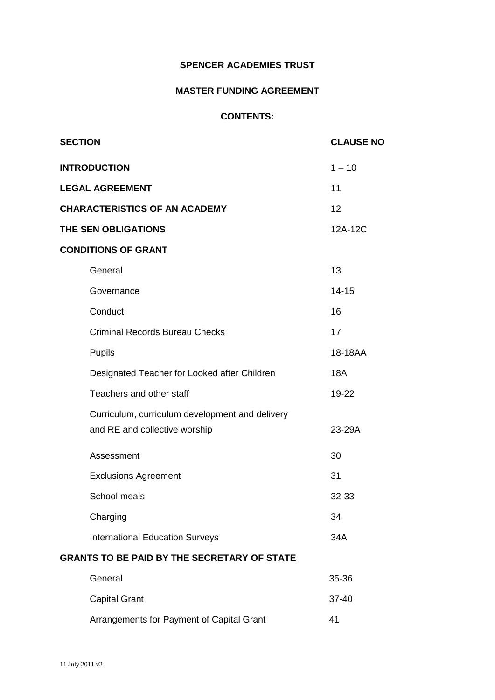## **SPENCER ACADEMIES TRUST**

# **MASTER FUNDING AGREEMENT**

# **CONTENTS:**

| <b>SECTION</b>                                     | <b>CLAUSE NO</b> |
|----------------------------------------------------|------------------|
| <b>INTRODUCTION</b>                                | $1 - 10$         |
| <b>LEGAL AGREEMENT</b>                             | 11               |
| <b>CHARACTERISTICS OF AN ACADEMY</b>               | 12               |
| THE SEN OBLIGATIONS                                | 12A-12C          |
| <b>CONDITIONS OF GRANT</b>                         |                  |
| General                                            | 13               |
| Governance                                         | $14 - 15$        |
| Conduct                                            | 16               |
| <b>Criminal Records Bureau Checks</b>              | 17               |
| Pupils                                             | 18-18AA          |
| Designated Teacher for Looked after Children       | <b>18A</b>       |
| Teachers and other staff                           | 19-22            |
| Curriculum, curriculum development and delivery    |                  |
| and RE and collective worship                      | 23-29A           |
| Assessment                                         | 30               |
| <b>Exclusions Agreement</b>                        | 31               |
| School meals                                       | 32-33            |
| Charging                                           | 34               |
| <b>International Education Surveys</b>             | 34A              |
| <b>GRANTS TO BE PAID BY THE SECRETARY OF STATE</b> |                  |
| General                                            | 35-36            |
| <b>Capital Grant</b>                               | 37-40            |

Arrangements for Payment of Capital Grant 41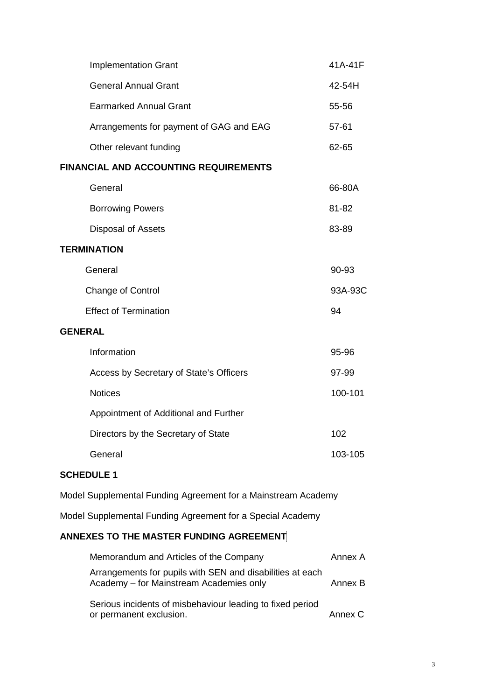| <b>Implementation Grant</b>                  | 41A-41F |
|----------------------------------------------|---------|
| <b>General Annual Grant</b>                  | 42-54H  |
| <b>Earmarked Annual Grant</b>                | 55-56   |
| Arrangements for payment of GAG and EAG      | 57-61   |
| Other relevant funding                       | 62-65   |
| <b>FINANCIAL AND ACCOUNTING REQUIREMENTS</b> |         |
| General                                      | 66-80A  |
| <b>Borrowing Powers</b>                      | 81-82   |
| Disposal of Assets                           | 83-89   |
| <b>TERMINATION</b>                           |         |
| General                                      | 90-93   |
| Change of Control                            | 93A-93C |
| <b>Effect of Termination</b>                 | 94      |
| <b>GENERAL</b>                               |         |
| Information                                  | 95-96   |
| Access by Secretary of State's Officers      | 97-99   |
| <b>Notices</b>                               | 100-101 |
| Appointment of Additional and Further        |         |
| Directors by the Secretary of State          | 102     |
| General                                      | 103-105 |

# **SCHEDULE 1**

Model Supplemental Funding Agreement for a Mainstream Academy

Model Supplemental Funding Agreement for a Special Academy

# **ANNEXES TO THE MASTER FUNDING AGREEMENT**

| Memorandum and Articles of the Company                                                               |         |  |  |  |  |  |
|------------------------------------------------------------------------------------------------------|---------|--|--|--|--|--|
| Arrangements for pupils with SEN and disabilities at each<br>Academy - for Mainstream Academies only | Annex B |  |  |  |  |  |
| Serious incidents of misbehaviour leading to fixed period<br>or permanent exclusion.                 | Annex C |  |  |  |  |  |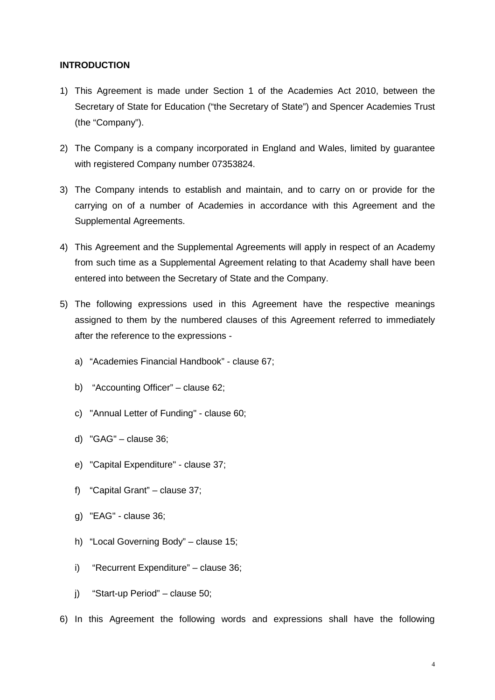#### **INTRODUCTION**

- 1) This Agreement is made under Section 1 of the Academies Act 2010, between the Secretary of State for Education ("the Secretary of State") and Spencer Academies Trust (the "Company").
- 2) The Company is a company incorporated in England and Wales, limited by guarantee with registered Company number 07353824.
- 3) The Company intends to establish and maintain, and to carry on or provide for the carrying on of a number of Academies in accordance with this Agreement and the Supplemental Agreements.
- 4) This Agreement and the Supplemental Agreements will apply in respect of an Academy from such time as a Supplemental Agreement relating to that Academy shall have been entered into between the Secretary of State and the Company.
- 5) The following expressions used in this Agreement have the respective meanings assigned to them by the numbered clauses of this Agreement referred to immediately after the reference to the expressions
	- a) "Academies Financial Handbook" clause 67;
	- b) "Accounting Officer" clause 62;
	- c) "Annual Letter of Funding" clause 60;
	- d) "GAG" clause 36;
	- e) "Capital Expenditure" clause 37;
	- f) "Capital Grant" clause 37;
	- g) "EAG" clause 36;
	- h) "Local Governing Body" clause 15;
	- i) "Recurrent Expenditure" clause 36;
	- j) "Start-up Period" clause 50;
- 6) In this Agreement the following words and expressions shall have the following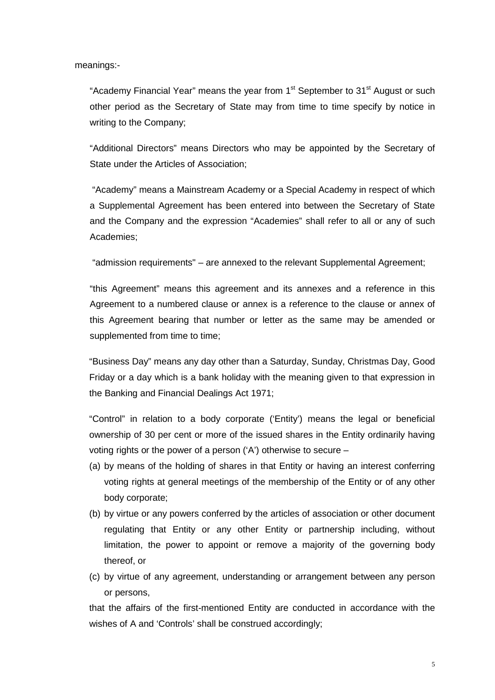meanings:-

"Academy Financial Year" means the year from  $1<sup>st</sup>$  September to  $31<sup>st</sup>$  August or such other period as the Secretary of State may from time to time specify by notice in writing to the Company;

"Additional Directors" means Directors who may be appointed by the Secretary of State under the Articles of Association;

"Academy" means a Mainstream Academy or a Special Academy in respect of which a Supplemental Agreement has been entered into between the Secretary of State and the Company and the expression "Academies" shall refer to all or any of such Academies;

"admission requirements" – are annexed to the relevant Supplemental Agreement;

"this Agreement" means this agreement and its annexes and a reference in this Agreement to a numbered clause or annex is a reference to the clause or annex of this Agreement bearing that number or letter as the same may be amended or supplemented from time to time;

"Business Day" means any day other than a Saturday, Sunday, Christmas Day, Good Friday or a day which is a bank holiday with the meaning given to that expression in the Banking and Financial Dealings Act 1971;

"Control" in relation to a body corporate ('Entity') means the legal or beneficial ownership of 30 per cent or more of the issued shares in the Entity ordinarily having voting rights or the power of a person ('A') otherwise to secure –

- (a) by means of the holding of shares in that Entity or having an interest conferring voting rights at general meetings of the membership of the Entity or of any other body corporate;
- (b) by virtue or any powers conferred by the articles of association or other document regulating that Entity or any other Entity or partnership including, without limitation, the power to appoint or remove a majority of the governing body thereof, or
- (c) by virtue of any agreement, understanding or arrangement between any person or persons,

that the affairs of the first-mentioned Entity are conducted in accordance with the wishes of A and 'Controls' shall be construed accordingly;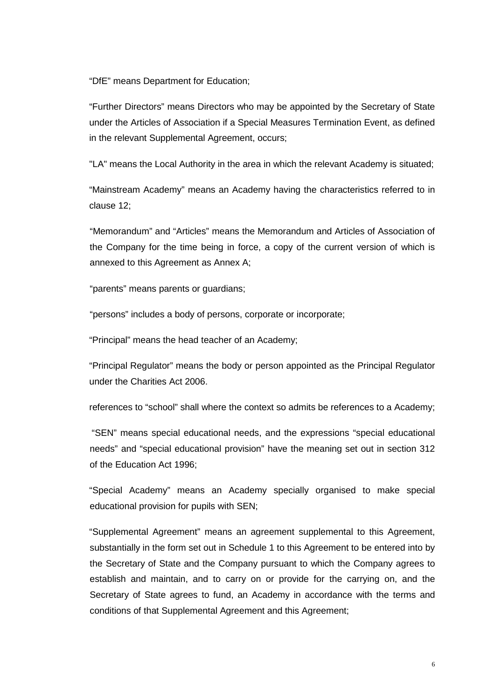"DfE" means Department for Education;

"Further Directors" means Directors who may be appointed by the Secretary of State under the Articles of Association if a Special Measures Termination Event, as defined in the relevant Supplemental Agreement, occurs;

"LA" means the Local Authority in the area in which the relevant Academy is situated;

"Mainstream Academy" means an Academy having the characteristics referred to in clause 12;

"Memorandum" and "Articles" means the Memorandum and Articles of Association of the Company for the time being in force, a copy of the current version of which is annexed to this Agreement as Annex A;

"parents" means parents or guardians;

"persons" includes a body of persons, corporate or incorporate;

"Principal" means the head teacher of an Academy;

"Principal Regulator" means the body or person appointed as the Principal Regulator under the Charities Act 2006.

references to "school" shall where the context so admits be references to a Academy;

"SEN" means special educational needs, and the expressions "special educational needs" and "special educational provision" have the meaning set out in section 312 of the Education Act 1996;

"Special Academy" means an Academy specially organised to make special educational provision for pupils with SEN;

"Supplemental Agreement" means an agreement supplemental to this Agreement, substantially in the form set out in Schedule 1 to this Agreement to be entered into by the Secretary of State and the Company pursuant to which the Company agrees to establish and maintain, and to carry on or provide for the carrying on, and the Secretary of State agrees to fund, an Academy in accordance with the terms and conditions of that Supplemental Agreement and this Agreement;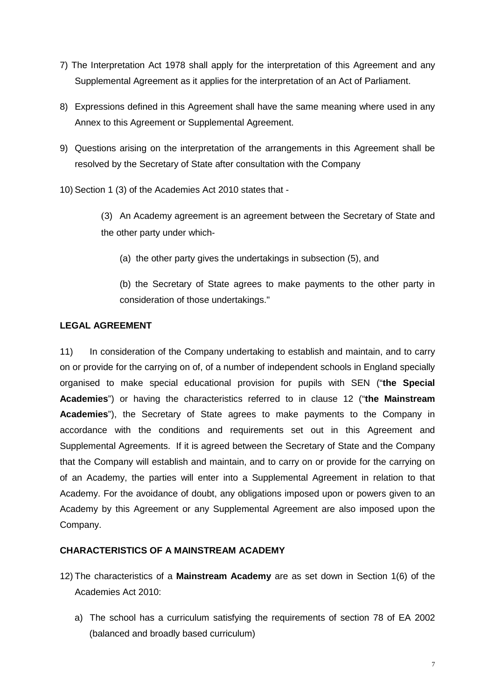- 7) The Interpretation Act 1978 shall apply for the interpretation of this Agreement and any Supplemental Agreement as it applies for the interpretation of an Act of Parliament.
- 8) Expressions defined in this Agreement shall have the same meaning where used in any Annex to this Agreement or Supplemental Agreement.
- 9) Questions arising on the interpretation of the arrangements in this Agreement shall be resolved by the Secretary of State after consultation with the Company
- 10) Section 1 (3) of the Academies Act 2010 states that
	- (3) An Academy agreement is an agreement between the Secretary of State and the other party under which-
		- (a) the other party gives the undertakings in subsection (5), and
		- (b) the Secretary of State agrees to make payments to the other party in consideration of those undertakings."

### **LEGAL AGREEMENT**

11) In consideration of the Company undertaking to establish and maintain, and to carry on or provide for the carrying on of, of a number of independent schools in England specially organised to make special educational provision for pupils with SEN ("**the Special Academies**") or having the characteristics referred to in clause 12 ("**the Mainstream Academies**"), the Secretary of State agrees to make payments to the Company in accordance with the conditions and requirements set out in this Agreement and Supplemental Agreements. If it is agreed between the Secretary of State and the Company that the Company will establish and maintain, and to carry on or provide for the carrying on of an Academy, the parties will enter into a Supplemental Agreement in relation to that Academy. For the avoidance of doubt, any obligations imposed upon or powers given to an Academy by this Agreement or any Supplemental Agreement are also imposed upon the Company.

#### **CHARACTERISTICS OF A MAINSTREAM ACADEMY**

- 12) The characteristics of a **Mainstream Academy** are as set down in Section 1(6) of the Academies Act 2010:
	- a) The school has a curriculum satisfying the requirements of section 78 of EA 2002 (balanced and broadly based curriculum)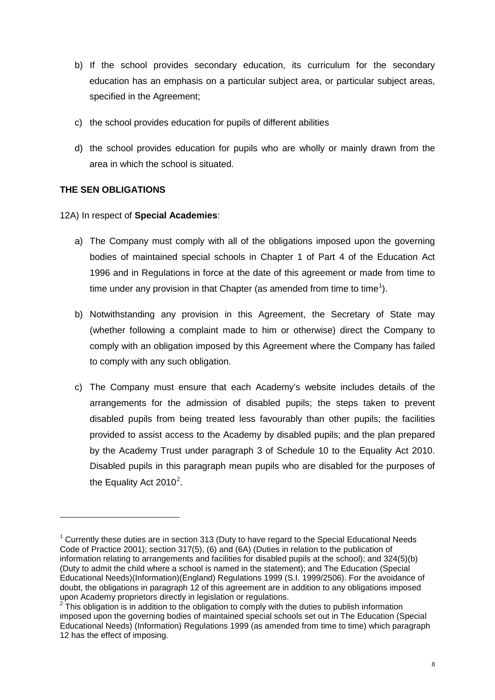- b) If the school provides secondary education, its curriculum for the secondary education has an emphasis on a particular subject area, or particular subject areas, specified in the Agreement;
- c) the school provides education for pupils of different abilities
- d) the school provides education for pupils who are wholly or mainly drawn from the area in which the school is situated.

### **THE SEN OBLIGATIONS**

<u>.</u>

12A) In respect of **Special Academies**:

- a) The Company must comply with all of the obligations imposed upon the governing bodies of maintained special schools in Chapter 1 of Part 4 of the Education Act 1996 and in Regulations in force at the date of this agreement or made from time to time under any provision in that Chapter (as amended from time to time<sup>[1](#page-7-0)</sup>).
- b) Notwithstanding any provision in this Agreement, the Secretary of State may (whether following a complaint made to him or otherwise) direct the Company to comply with an obligation imposed by this Agreement where the Company has failed to comply with any such obligation.
- c) The Company must ensure that each Academy's website includes details of the arrangements for the admission of disabled pupils; the steps taken to prevent disabled pupils from being treated less favourably than other pupils; the facilities provided to assist access to the Academy by disabled pupils; and the plan prepared by the Academy Trust under paragraph 3 of Schedule 10 to the Equality Act 2010. Disabled pupils in this paragraph mean pupils who are disabled for the purposes of the Equality Act [2](#page-7-1)010<sup>2</sup>.

<span id="page-7-0"></span> $1$  Currently these duties are in section 313 (Duty to have regard to the Special Educational Needs Code of Practice 2001); section 317(5), (6) and (6A) (Duties in relation to the publication of information relating to arrangements and facilities for disabled pupils at the school); and 324(5)(b) (Duty to admit the child where a school is named in the statement); and The Education (Special Educational Needs)(Information)(England) Regulations 1999 (S.I. 1999/2506). For the avoidance of doubt, the obligations in paragraph 12 of this agreement are in addition to any obligations imposed upon Academy proprietors directly in legislation or regulations.<br><sup>2</sup> This obligation is in addition to the obligation to comply with the duties to publish information

<span id="page-7-1"></span>imposed upon the governing bodies of maintained special schools set out in The Education (Special Educational Needs) (Information) Regulations 1999 (as amended from time to time) which paragraph 12 has the effect of imposing.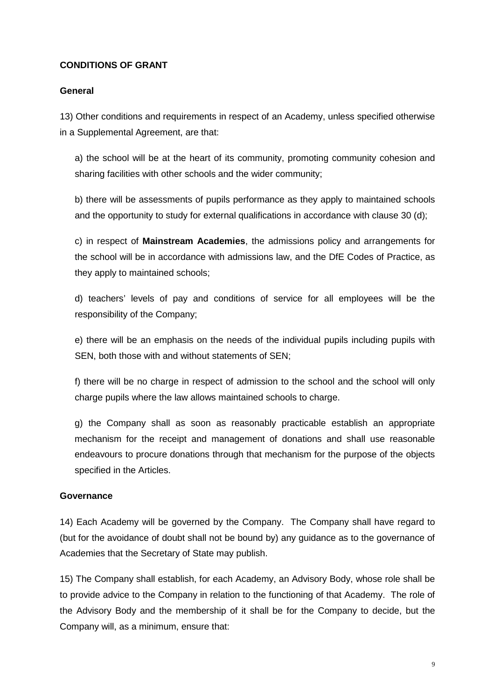# **CONDITIONS OF GRANT**

#### **General**

13) Other conditions and requirements in respect of an Academy, unless specified otherwise in a Supplemental Agreement, are that:

a) the school will be at the heart of its community, promoting community cohesion and sharing facilities with other schools and the wider community;

b) there will be assessments of pupils performance as they apply to maintained schools and the opportunity to study for external qualifications in accordance with clause 30 (d);

c) in respect of **Mainstream Academies**, the admissions policy and arrangements for the school will be in accordance with admissions law, and the DfE Codes of Practice, as they apply to maintained schools;

d) teachers' levels of pay and conditions of service for all employees will be the responsibility of the Company;

e) there will be an emphasis on the needs of the individual pupils including pupils with SEN, both those with and without statements of SEN;

f) there will be no charge in respect of admission to the school and the school will only charge pupils where the law allows maintained schools to charge.

g) the Company shall as soon as reasonably practicable establish an appropriate mechanism for the receipt and management of donations and shall use reasonable endeavours to procure donations through that mechanism for the purpose of the objects specified in the Articles.

#### **Governance**

14) Each Academy will be governed by the Company. The Company shall have regard to (but for the avoidance of doubt shall not be bound by) any guidance as to the governance of Academies that the Secretary of State may publish.

15) The Company shall establish, for each Academy, an Advisory Body, whose role shall be to provide advice to the Company in relation to the functioning of that Academy. The role of the Advisory Body and the membership of it shall be for the Company to decide, but the Company will, as a minimum, ensure that: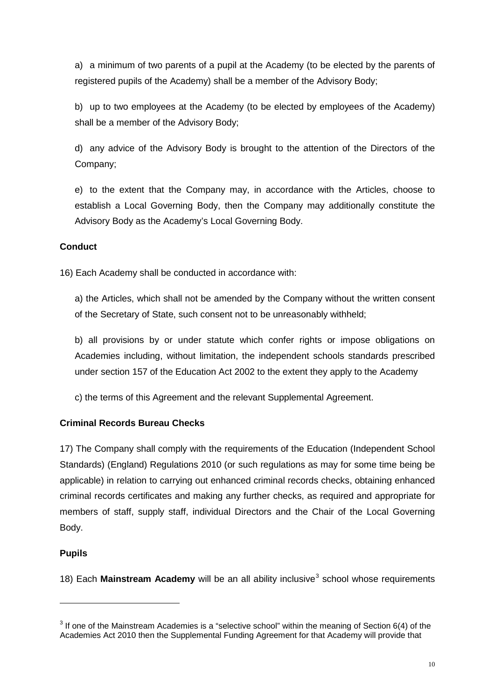a) a minimum of two parents of a pupil at the Academy (to be elected by the parents of registered pupils of the Academy) shall be a member of the Advisory Body;

b) up to two employees at the Academy (to be elected by employees of the Academy) shall be a member of the Advisory Body;

d) any advice of the Advisory Body is brought to the attention of the Directors of the Company;

e) to the extent that the Company may, in accordance with the Articles, choose to establish a Local Governing Body, then the Company may additionally constitute the Advisory Body as the Academy's Local Governing Body.

# **Conduct**

16) Each Academy shall be conducted in accordance with:

a) the Articles, which shall not be amended by the Company without the written consent of the Secretary of State, such consent not to be unreasonably withheld;

b) all provisions by or under statute which confer rights or impose obligations on Academies including, without limitation, the independent schools standards prescribed under section 157 of the Education Act 2002 to the extent they apply to the Academy

c) the terms of this Agreement and the relevant Supplemental Agreement.

# **Criminal Records Bureau Checks**

17) The Company shall comply with the requirements of the Education (Independent School Standards) (England) Regulations 2010 (or such regulations as may for some time being be applicable) in relation to carrying out enhanced criminal records checks, obtaining enhanced criminal records certificates and making any further checks, as required and appropriate for members of staff, supply staff, individual Directors and the Chair of the Local Governing Body.

# **Pupils**

<u>.</u>

18) Each **Mainstream Academy** will be an all ability inclusive<sup>[3](#page-9-0)</sup> school whose requirements

<span id="page-9-0"></span> $3$  If one of the Mainstream Academies is a "selective school" within the meaning of Section 6(4) of the Academies Act 2010 then the Supplemental Funding Agreement for that Academy will provide that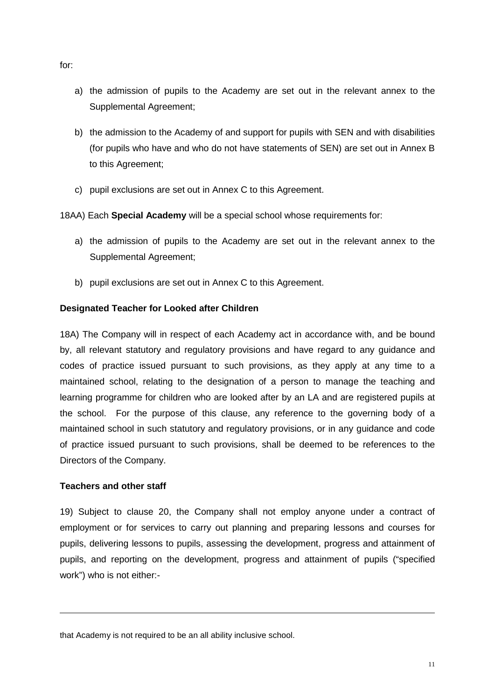- a) the admission of pupils to the Academy are set out in the relevant annex to the Supplemental Agreement;
- b) the admission to the Academy of and support for pupils with SEN and with disabilities (for pupils who have and who do not have statements of SEN) are set out in Annex B to this Agreement;
- c) pupil exclusions are set out in Annex C to this Agreement.

18AA) Each **Special Academy** will be a special school whose requirements for:

- a) the admission of pupils to the Academy are set out in the relevant annex to the Supplemental Agreement;
- b) pupil exclusions are set out in Annex C to this Agreement.

#### **Designated Teacher for Looked after Children**

18A) The Company will in respect of each Academy act in accordance with, and be bound by, all relevant statutory and regulatory provisions and have regard to any guidance and codes of practice issued pursuant to such provisions, as they apply at any time to a maintained school, relating to the designation of a person to manage the teaching and learning programme for children who are looked after by an LA and are registered pupils at the school. For the purpose of this clause, any reference to the governing body of a maintained school in such statutory and regulatory provisions, or in any guidance and code of practice issued pursuant to such provisions, shall be deemed to be references to the Directors of the Company.

#### **Teachers and other staff**

<u>.</u>

19) Subject to clause 20, the Company shall not employ anyone under a contract of employment or for services to carry out planning and preparing lessons and courses for pupils, delivering lessons to pupils, assessing the development, progress and attainment of pupils, and reporting on the development, progress and attainment of pupils ("specified work") who is not either:-

that Academy is not required to be an all ability inclusive school.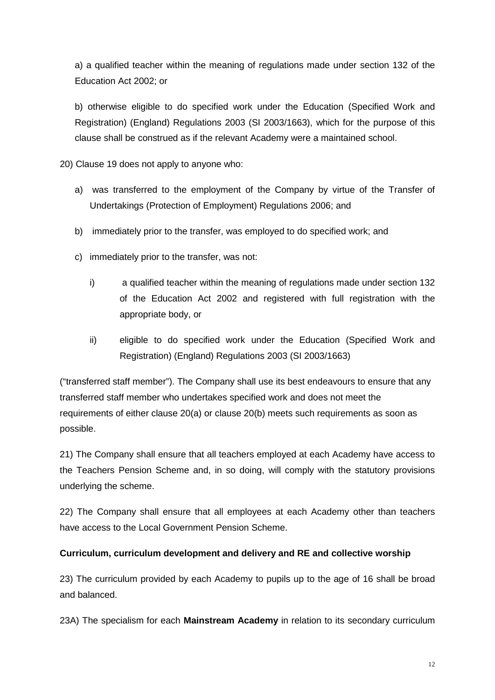a) a qualified teacher within the meaning of regulations made under section 132 of the Education Act 2002; or

b) otherwise eligible to do specified work under the Education (Specified Work and Registration) (England) Regulations 2003 (SI 2003/1663), which for the purpose of this clause shall be construed as if the relevant Academy were a maintained school.

20) Clause 19 does not apply to anyone who:

- a) was transferred to the employment of the Company by virtue of the Transfer of Undertakings (Protection of Employment) Regulations 2006; and
- b) immediately prior to the transfer, was employed to do specified work; and
- c) immediately prior to the transfer, was not:
	- i) a qualified teacher within the meaning of regulations made under section 132 of the Education Act 2002 and registered with full registration with the appropriate body, or
	- ii) eligible to do specified work under the Education (Specified Work and Registration) (England) Regulations 2003 (SI 2003/1663)

("transferred staff member"). The Company shall use its best endeavours to ensure that any transferred staff member who undertakes specified work and does not meet the requirements of either clause 20(a) or clause 20(b) meets such requirements as soon as possible.

21) The Company shall ensure that all teachers employed at each Academy have access to the Teachers Pension Scheme and, in so doing, will comply with the statutory provisions underlying the scheme.

22) The Company shall ensure that all employees at each Academy other than teachers have access to the Local Government Pension Scheme.

# **Curriculum, curriculum development and delivery and RE and collective worship**

23) The curriculum provided by each Academy to pupils up to the age of 16 shall be broad and balanced.

23A) The specialism for each **Mainstream Academy** in relation to its secondary curriculum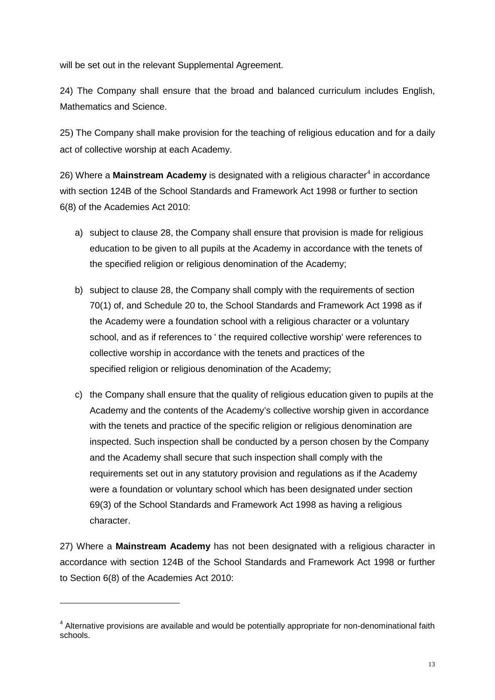will be set out in the relevant Supplemental Agreement.

24) The Company shall ensure that the broad and balanced curriculum includes English, Mathematics and Science.

25) The Company shall make provision for the teaching of religious education and for a daily act of collective worship at each Academy.

26) Where a **Mainstream Academy** is designated with a religious character<sup>[4](#page-12-0)</sup> in accordance with section 124B of the School Standards and Framework Act 1998 or further to section 6(8) of the Academies Act 2010:

- a) subject to clause 28, the Company shall ensure that provision is made for religious education to be given to all pupils at the Academy in accordance with the tenets of the specified religion or religious denomination of the Academy;
- b) subject to clause 28, the Company shall comply with the requirements of section 70(1) of, and Schedule 20 to, the School Standards and Framework Act 1998 as if the Academy were a foundation school with a religious character or a voluntary school, and as if references to ' the required collective worship' were references to collective worship in accordance with the tenets and practices of the specified religion or religious denomination of the Academy;
- c) the Company shall ensure that the quality of religious education given to pupils at the Academy and the contents of the Academy's collective worship given in accordance with the tenets and practice of the specific religion or religious denomination are inspected. Such inspection shall be conducted by a person chosen by the Company and the Academy shall secure that such inspection shall comply with the requirements set out in any statutory provision and regulations as if the Academy were a foundation or voluntary school which has been designated under section 69(3) of the School Standards and Framework Act 1998 as having a religious character.

27) Where a **Mainstream Academy** has not been designated with a religious character in accordance with section 124B of the School Standards and Framework Act 1998 or further to Section 6(8) of the Academies Act 2010:

<u>.</u>

<span id="page-12-0"></span><sup>&</sup>lt;sup>4</sup> Alternative provisions are available and would be potentially appropriate for non-denominational faith schools.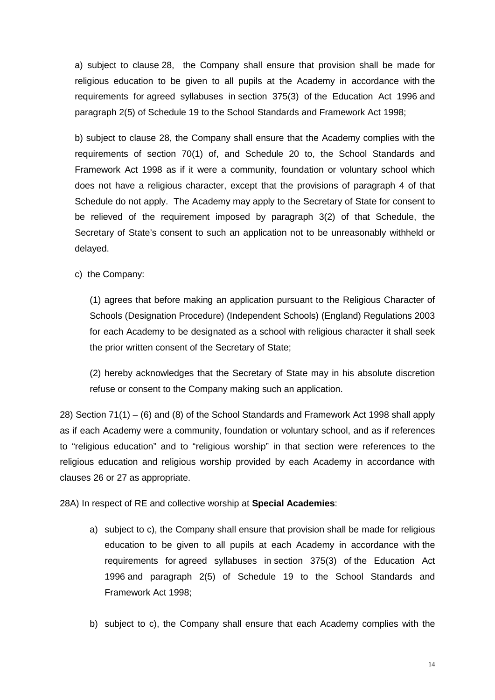a) subject to clause 28, the Company shall ensure that provision shall be made for religious education to be given to all pupils at the Academy in accordance with the requirements for agreed syllabuses in section 375(3) of the Education Act 1996 and paragraph 2(5) of Schedule 19 to the School Standards and Framework Act 1998;

b) subject to clause 28, the Company shall ensure that the Academy complies with the requirements of section 70(1) of, and Schedule 20 to, the School Standards and Framework Act 1998 as if it were a community, foundation or voluntary school which does not have a religious character, except that the provisions of paragraph 4 of that Schedule do not apply. The Academy may apply to the Secretary of State for consent to be relieved of the requirement imposed by paragraph 3(2) of that Schedule, the Secretary of State's consent to such an application not to be unreasonably withheld or delayed.

c) the Company:

(1) agrees that before making an application pursuant to the Religious Character of Schools (Designation Procedure) (Independent Schools) (England) Regulations 2003 for each Academy to be designated as a school with religious character it shall seek the prior written consent of the Secretary of State;

(2) hereby acknowledges that the Secretary of State may in his absolute discretion refuse or consent to the Company making such an application.

28) Section 71(1) – (6) and (8) of the School Standards and Framework Act 1998 shall apply as if each Academy were a community, foundation or voluntary school, and as if references to "religious education" and to "religious worship" in that section were references to the religious education and religious worship provided by each Academy in accordance with clauses 26 or 27 as appropriate.

28A) In respect of RE and collective worship at **Special Academies**:

- a) subject to c), the Company shall ensure that provision shall be made for religious education to be given to all pupils at each Academy in accordance with the requirements for agreed syllabuses in section 375(3) of the Education Act 1996 and paragraph 2(5) of Schedule 19 to the School Standards and Framework Act 1998;
- b) subject to c), the Company shall ensure that each Academy complies with the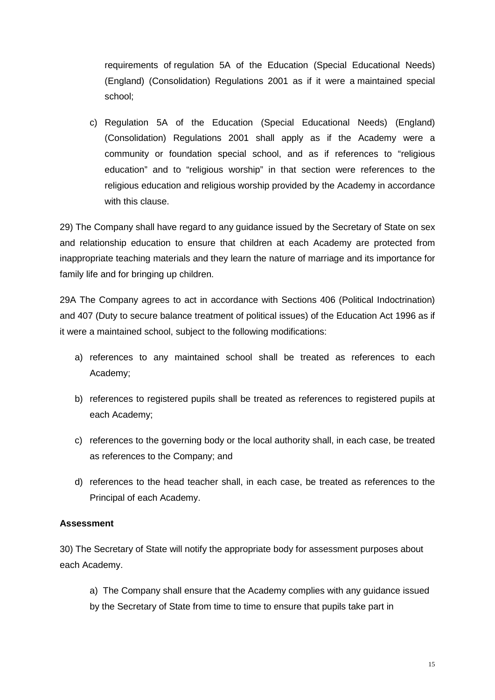requirements of regulation 5A of the Education (Special Educational Needs) (England) (Consolidation) Regulations 2001 as if it were a maintained special school;

c) Regulation 5A of the Education (Special Educational Needs) (England) (Consolidation) Regulations 2001 shall apply as if the Academy were a community or foundation special school, and as if references to "religious education" and to "religious worship" in that section were references to the religious education and religious worship provided by the Academy in accordance with this clause.

29) The Company shall have regard to any guidance issued by the Secretary of State on sex and relationship education to ensure that children at each Academy are protected from inappropriate teaching materials and they learn the nature of marriage and its importance for family life and for bringing up children.

29A The Company agrees to act in accordance with Sections 406 (Political Indoctrination) and 407 (Duty to secure balance treatment of political issues) of the Education Act 1996 as if it were a maintained school, subject to the following modifications:

- a) references to any maintained school shall be treated as references to each Academy;
- b) references to registered pupils shall be treated as references to registered pupils at each Academy;
- c) references to the governing body or the local authority shall, in each case, be treated as references to the Company; and
- d) references to the head teacher shall, in each case, be treated as references to the Principal of each Academy.

# **Assessment**

30) The Secretary of State will notify the appropriate body for assessment purposes about each Academy.

a) The Company shall ensure that the Academy complies with any guidance issued by the Secretary of State from time to time to ensure that pupils take part in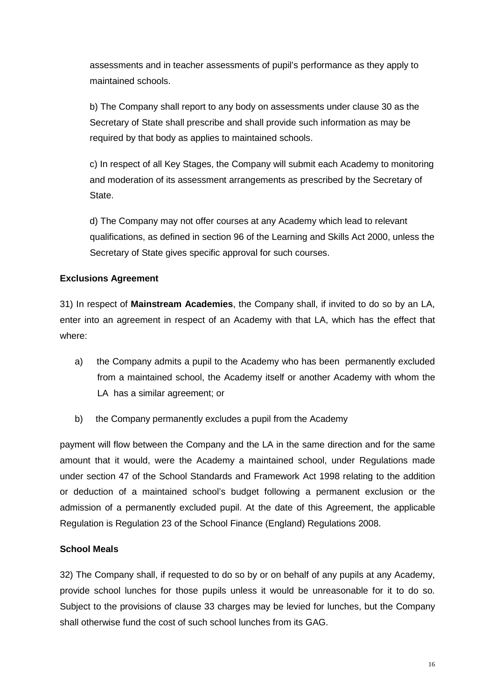assessments and in teacher assessments of pupil's performance as they apply to maintained schools.

b) The Company shall report to any body on assessments under clause 30 as the Secretary of State shall prescribe and shall provide such information as may be required by that body as applies to maintained schools.

c) In respect of all Key Stages, the Company will submit each Academy to monitoring and moderation of its assessment arrangements as prescribed by the Secretary of State.

d) The Company may not offer courses at any Academy which lead to relevant qualifications, as defined in section 96 of the Learning and Skills Act 2000, unless the Secretary of State gives specific approval for such courses.

### **Exclusions Agreement**

31) In respect of **Mainstream Academies**, the Company shall, if invited to do so by an LA, enter into an agreement in respect of an Academy with that LA, which has the effect that where:

- a) the Company admits a pupil to the Academy who has been permanently excluded from a maintained school, the Academy itself or another Academy with whom the LA has a similar agreement; or
- b) the Company permanently excludes a pupil from the Academy

payment will flow between the Company and the LA in the same direction and for the same amount that it would, were the Academy a maintained school, under Regulations made under section 47 of the School Standards and Framework Act 1998 relating to the addition or deduction of a maintained school's budget following a permanent exclusion or the admission of a permanently excluded pupil. At the date of this Agreement, the applicable Regulation is Regulation 23 of the School Finance (England) Regulations 2008.

# **School Meals**

32) The Company shall, if requested to do so by or on behalf of any pupils at any Academy, provide school lunches for those pupils unless it would be unreasonable for it to do so. Subject to the provisions of clause 33 charges may be levied for lunches, but the Company shall otherwise fund the cost of such school lunches from its GAG.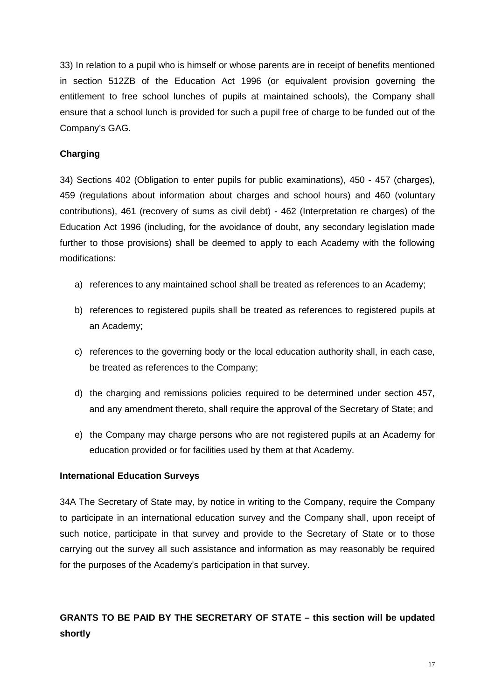33) In relation to a pupil who is himself or whose parents are in receipt of benefits mentioned in section 512ZB of the Education Act 1996 (or equivalent provision governing the entitlement to free school lunches of pupils at maintained schools), the Company shall ensure that a school lunch is provided for such a pupil free of charge to be funded out of the Company's GAG.

# **Charging**

34) Sections 402 (Obligation to enter pupils for public examinations), 450 - 457 (charges), 459 (regulations about information about charges and school hours) and 460 (voluntary contributions), 461 (recovery of sums as civil debt) - 462 (Interpretation re charges) of the Education Act 1996 (including, for the avoidance of doubt, any secondary legislation made further to those provisions) shall be deemed to apply to each Academy with the following modifications:

- a) references to any maintained school shall be treated as references to an Academy;
- b) references to registered pupils shall be treated as references to registered pupils at an Academy;
- c) references to the governing body or the local education authority shall, in each case, be treated as references to the Company;
- d) the charging and remissions policies required to be determined under section 457, and any amendment thereto, shall require the approval of the Secretary of State; and
- e) the Company may charge persons who are not registered pupils at an Academy for education provided or for facilities used by them at that Academy.

#### **International Education Surveys**

34A The Secretary of State may, by notice in writing to the Company, require the Company to participate in an international education survey and the Company shall, upon receipt of such notice, participate in that survey and provide to the Secretary of State or to those carrying out the survey all such assistance and information as may reasonably be required for the purposes of the Academy's participation in that survey.

# **GRANTS TO BE PAID BY THE SECRETARY OF STATE – this section will be updated shortly**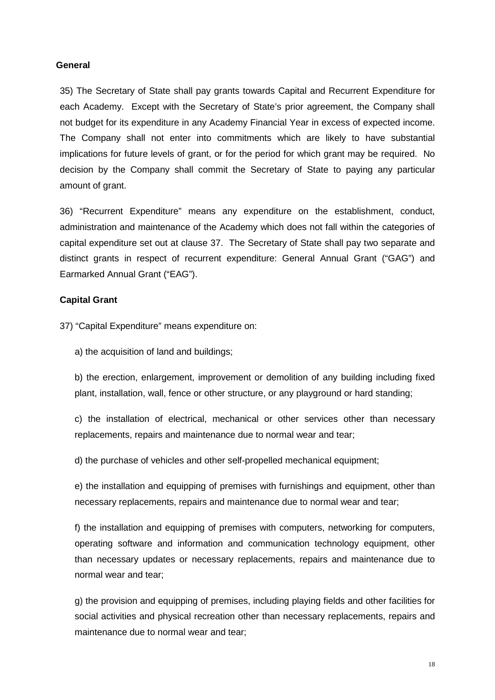#### **General**

35) The Secretary of State shall pay grants towards Capital and Recurrent Expenditure for each Academy. Except with the Secretary of State's prior agreement, the Company shall not budget for its expenditure in any Academy Financial Year in excess of expected income. The Company shall not enter into commitments which are likely to have substantial implications for future levels of grant, or for the period for which grant may be required. No decision by the Company shall commit the Secretary of State to paying any particular amount of grant.

36) "Recurrent Expenditure" means any expenditure on the establishment, conduct, administration and maintenance of the Academy which does not fall within the categories of capital expenditure set out at clause 37. The Secretary of State shall pay two separate and distinct grants in respect of recurrent expenditure: General Annual Grant ("GAG") and Earmarked Annual Grant ("EAG").

#### **Capital Grant**

37) "Capital Expenditure" means expenditure on:

a) the acquisition of land and buildings;

b) the erection, enlargement, improvement or demolition of any building including fixed plant, installation, wall, fence or other structure, or any playground or hard standing;

c) the installation of electrical, mechanical or other services other than necessary replacements, repairs and maintenance due to normal wear and tear;

d) the purchase of vehicles and other self-propelled mechanical equipment;

e) the installation and equipping of premises with furnishings and equipment, other than necessary replacements, repairs and maintenance due to normal wear and tear;

f) the installation and equipping of premises with computers, networking for computers, operating software and information and communication technology equipment, other than necessary updates or necessary replacements, repairs and maintenance due to normal wear and tear;

g) the provision and equipping of premises, including playing fields and other facilities for social activities and physical recreation other than necessary replacements, repairs and maintenance due to normal wear and tear;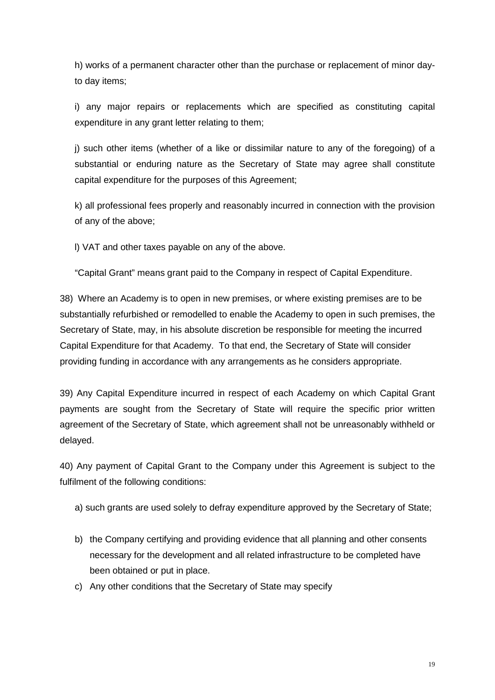h) works of a permanent character other than the purchase or replacement of minor dayto day items;

i) any major repairs or replacements which are specified as constituting capital expenditure in any grant letter relating to them;

j) such other items (whether of a like or dissimilar nature to any of the foregoing) of a substantial or enduring nature as the Secretary of State may agree shall constitute capital expenditure for the purposes of this Agreement;

k) all professional fees properly and reasonably incurred in connection with the provision of any of the above;

l) VAT and other taxes payable on any of the above.

"Capital Grant" means grant paid to the Company in respect of Capital Expenditure.

38) Where an Academy is to open in new premises, or where existing premises are to be substantially refurbished or remodelled to enable the Academy to open in such premises, the Secretary of State, may, in his absolute discretion be responsible for meeting the incurred Capital Expenditure for that Academy. To that end, the Secretary of State will consider providing funding in accordance with any arrangements as he considers appropriate.

39) Any Capital Expenditure incurred in respect of each Academy on which Capital Grant payments are sought from the Secretary of State will require the specific prior written agreement of the Secretary of State, which agreement shall not be unreasonably withheld or delayed.

40) Any payment of Capital Grant to the Company under this Agreement is subject to the fulfilment of the following conditions:

- a) such grants are used solely to defray expenditure approved by the Secretary of State;
- b) the Company certifying and providing evidence that all planning and other consents necessary for the development and all related infrastructure to be completed have been obtained or put in place.
- c) Any other conditions that the Secretary of State may specify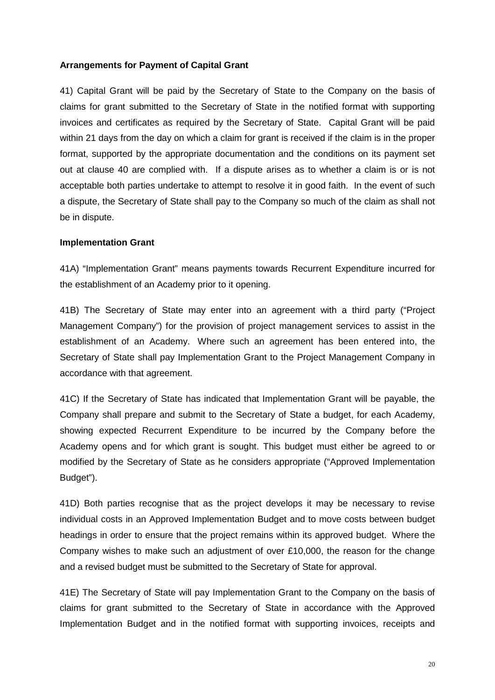#### **Arrangements for Payment of Capital Grant**

41) Capital Grant will be paid by the Secretary of State to the Company on the basis of claims for grant submitted to the Secretary of State in the notified format with supporting invoices and certificates as required by the Secretary of State. Capital Grant will be paid within 21 days from the day on which a claim for grant is received if the claim is in the proper format, supported by the appropriate documentation and the conditions on its payment set out at clause 40 are complied with. If a dispute arises as to whether a claim is or is not acceptable both parties undertake to attempt to resolve it in good faith. In the event of such a dispute, the Secretary of State shall pay to the Company so much of the claim as shall not be in dispute.

#### **Implementation Grant**

41A) "Implementation Grant" means payments towards Recurrent Expenditure incurred for the establishment of an Academy prior to it opening.

41B) The Secretary of State may enter into an agreement with a third party ("Project Management Company") for the provision of project management services to assist in the establishment of an Academy. Where such an agreement has been entered into, the Secretary of State shall pay Implementation Grant to the Project Management Company in accordance with that agreement.

41C) If the Secretary of State has indicated that Implementation Grant will be payable, the Company shall prepare and submit to the Secretary of State a budget, for each Academy, showing expected Recurrent Expenditure to be incurred by the Company before the Academy opens and for which grant is sought. This budget must either be agreed to or modified by the Secretary of State as he considers appropriate ("Approved Implementation Budget").

41D) Both parties recognise that as the project develops it may be necessary to revise individual costs in an Approved Implementation Budget and to move costs between budget headings in order to ensure that the project remains within its approved budget. Where the Company wishes to make such an adjustment of over £10,000, the reason for the change and a revised budget must be submitted to the Secretary of State for approval.

41E) The Secretary of State will pay Implementation Grant to the Company on the basis of claims for grant submitted to the Secretary of State in accordance with the Approved Implementation Budget and in the notified format with supporting invoices, receipts and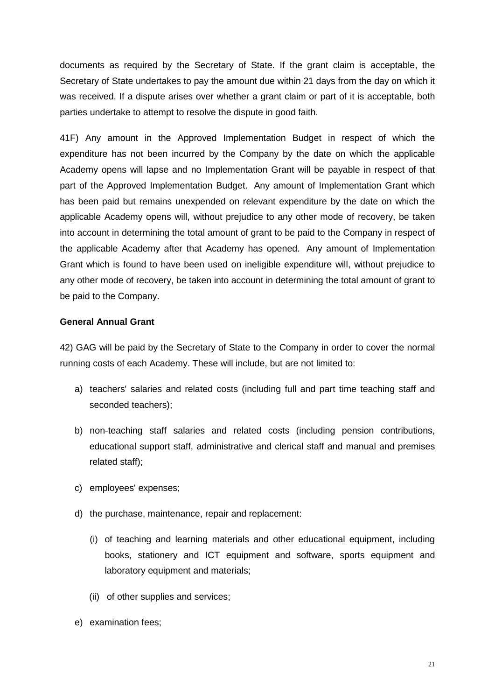documents as required by the Secretary of State. If the grant claim is acceptable, the Secretary of State undertakes to pay the amount due within 21 days from the day on which it was received. If a dispute arises over whether a grant claim or part of it is acceptable, both parties undertake to attempt to resolve the dispute in good faith.

41F) Any amount in the Approved Implementation Budget in respect of which the expenditure has not been incurred by the Company by the date on which the applicable Academy opens will lapse and no Implementation Grant will be payable in respect of that part of the Approved Implementation Budget. Any amount of Implementation Grant which has been paid but remains unexpended on relevant expenditure by the date on which the applicable Academy opens will, without prejudice to any other mode of recovery, be taken into account in determining the total amount of grant to be paid to the Company in respect of the applicable Academy after that Academy has opened. Any amount of Implementation Grant which is found to have been used on ineligible expenditure will, without prejudice to any other mode of recovery, be taken into account in determining the total amount of grant to be paid to the Company.

#### **General Annual Grant**

42) GAG will be paid by the Secretary of State to the Company in order to cover the normal running costs of each Academy. These will include, but are not limited to:

- a) teachers' salaries and related costs (including full and part time teaching staff and seconded teachers);
- b) non-teaching staff salaries and related costs (including pension contributions, educational support staff, administrative and clerical staff and manual and premises related staff);
- c) employees' expenses;
- d) the purchase, maintenance, repair and replacement:
	- (i) of teaching and learning materials and other educational equipment, including books, stationery and ICT equipment and software, sports equipment and laboratory equipment and materials;
	- (ii) of other supplies and services;
- e) examination fees;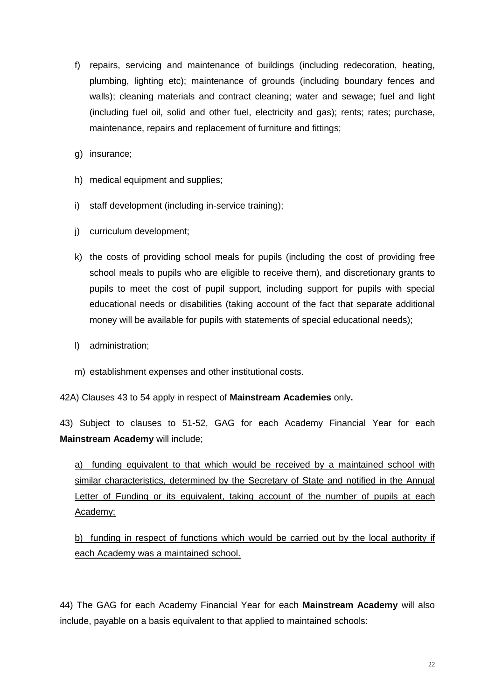- f) repairs, servicing and maintenance of buildings (including redecoration, heating, plumbing, lighting etc); maintenance of grounds (including boundary fences and walls); cleaning materials and contract cleaning; water and sewage; fuel and light (including fuel oil, solid and other fuel, electricity and gas); rents; rates; purchase, maintenance, repairs and replacement of furniture and fittings;
- g) insurance;
- h) medical equipment and supplies;
- i) staff development (including in-service training);
- j) curriculum development;
- k) the costs of providing school meals for pupils (including the cost of providing free school meals to pupils who are eligible to receive them), and discretionary grants to pupils to meet the cost of pupil support, including support for pupils with special educational needs or disabilities (taking account of the fact that separate additional money will be available for pupils with statements of special educational needs);
- l) administration;
- m) establishment expenses and other institutional costs.

42A) Clauses 43 to 54 apply in respect of **Mainstream Academies** only**.**

43) Subject to clauses to 51-52, GAG for each Academy Financial Year for each **Mainstream Academy** will include;

a) funding equivalent to that which would be received by a maintained school with similar characteristics, determined by the Secretary of State and notified in the Annual Letter of Funding or its equivalent, taking account of the number of pupils at each Academy;

b) funding in respect of functions which would be carried out by the local authority if each Academy was a maintained school.

44) The GAG for each Academy Financial Year for each **Mainstream Academy** will also include, payable on a basis equivalent to that applied to maintained schools: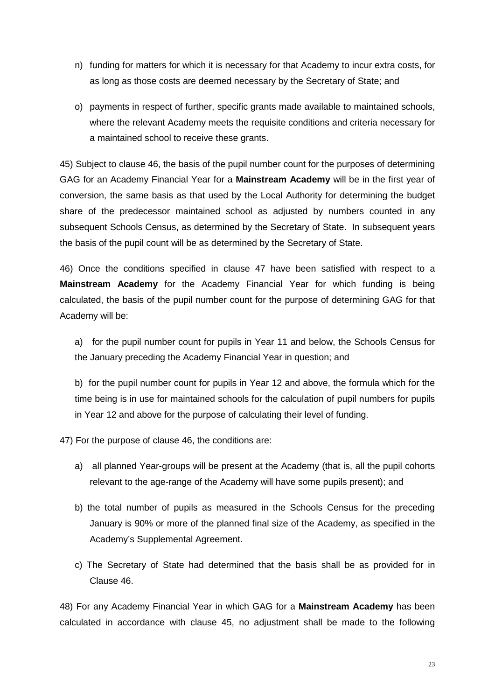- n) funding for matters for which it is necessary for that Academy to incur extra costs, for as long as those costs are deemed necessary by the Secretary of State; and
- o) payments in respect of further, specific grants made available to maintained schools, where the relevant Academy meets the requisite conditions and criteria necessary for a maintained school to receive these grants.

45) Subject to clause 46, the basis of the pupil number count for the purposes of determining GAG for an Academy Financial Year for a **Mainstream Academy** will be in the first year of conversion, the same basis as that used by the Local Authority for determining the budget share of the predecessor maintained school as adjusted by numbers counted in any subsequent Schools Census, as determined by the Secretary of State. In subsequent years the basis of the pupil count will be as determined by the Secretary of State.

46) Once the conditions specified in clause 47 have been satisfied with respect to a **Mainstream Academy** for the Academy Financial Year for which funding is being calculated, the basis of the pupil number count for the purpose of determining GAG for that Academy will be:

a) for the pupil number count for pupils in Year 11 and below, the Schools Census for the January preceding the Academy Financial Year in question; and

b) for the pupil number count for pupils in Year 12 and above, the formula which for the time being is in use for maintained schools for the calculation of pupil numbers for pupils in Year 12 and above for the purpose of calculating their level of funding.

47) For the purpose of clause 46, the conditions are:

- a) all planned Year-groups will be present at the Academy (that is, all the pupil cohorts relevant to the age-range of the Academy will have some pupils present); and
- b) the total number of pupils as measured in the Schools Census for the preceding January is 90% or more of the planned final size of the Academy, as specified in the Academy's Supplemental Agreement.
- c) The Secretary of State had determined that the basis shall be as provided for in Clause 46.

48) For any Academy Financial Year in which GAG for a **Mainstream Academy** has been calculated in accordance with clause 45, no adjustment shall be made to the following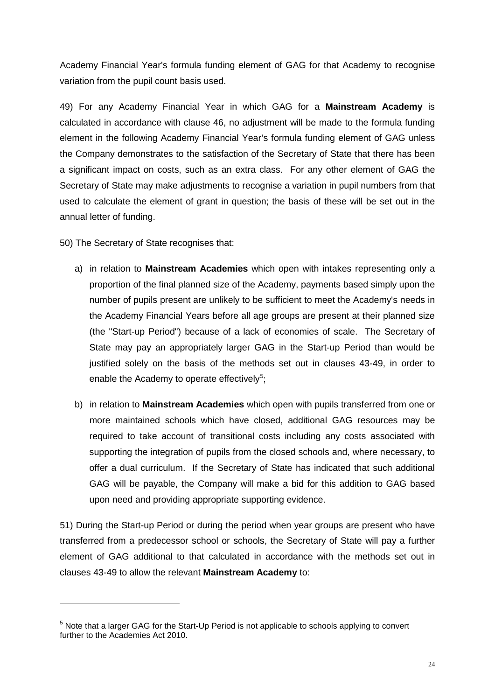Academy Financial Year's formula funding element of GAG for that Academy to recognise variation from the pupil count basis used.

49) For any Academy Financial Year in which GAG for a **Mainstream Academy** is calculated in accordance with clause 46, no adjustment will be made to the formula funding element in the following Academy Financial Year's formula funding element of GAG unless the Company demonstrates to the satisfaction of the Secretary of State that there has been a significant impact on costs, such as an extra class. For any other element of GAG the Secretary of State may make adjustments to recognise a variation in pupil numbers from that used to calculate the element of grant in question; the basis of these will be set out in the annual letter of funding.

50) The Secretary of State recognises that:

<u>.</u>

- a) in relation to **Mainstream Academies** which open with intakes representing only a proportion of the final planned size of the Academy, payments based simply upon the number of pupils present are unlikely to be sufficient to meet the Academy's needs in the Academy Financial Years before all age groups are present at their planned size (the "Start-up Period") because of a lack of economies of scale. The Secretary of State may pay an appropriately larger GAG in the Start-up Period than would be justified solely on the basis of the methods set out in clauses 43-49, in order to enable the Academy to operate effectively<sup>[5](#page-23-0)</sup>;
- b) in relation to **Mainstream Academies** which open with pupils transferred from one or more maintained schools which have closed, additional GAG resources may be required to take account of transitional costs including any costs associated with supporting the integration of pupils from the closed schools and, where necessary, to offer a dual curriculum. If the Secretary of State has indicated that such additional GAG will be payable, the Company will make a bid for this addition to GAG based upon need and providing appropriate supporting evidence.

51) During the Start-up Period or during the period when year groups are present who have transferred from a predecessor school or schools, the Secretary of State will pay a further element of GAG additional to that calculated in accordance with the methods set out in clauses 43-49 to allow the relevant **Mainstream Academy** to:

<span id="page-23-0"></span><sup>&</sup>lt;sup>5</sup> Note that a larger GAG for the Start-Up Period is not applicable to schools applying to convert further to the Academies Act 2010.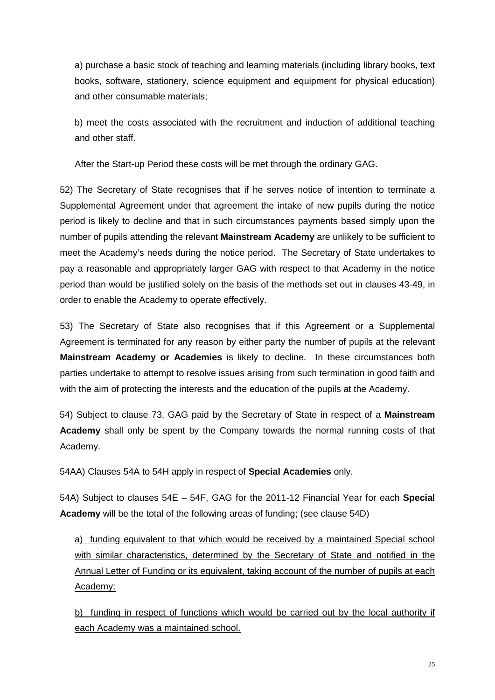a) purchase a basic stock of teaching and learning materials (including library books, text books, software, stationery, science equipment and equipment for physical education) and other consumable materials;

b) meet the costs associated with the recruitment and induction of additional teaching and other staff.

After the Start-up Period these costs will be met through the ordinary GAG.

52) The Secretary of State recognises that if he serves notice of intention to terminate a Supplemental Agreement under that agreement the intake of new pupils during the notice period is likely to decline and that in such circumstances payments based simply upon the number of pupils attending the relevant **Mainstream Academy** are unlikely to be sufficient to meet the Academy's needs during the notice period. The Secretary of State undertakes to pay a reasonable and appropriately larger GAG with respect to that Academy in the notice period than would be justified solely on the basis of the methods set out in clauses 43-49, in order to enable the Academy to operate effectively.

53) The Secretary of State also recognises that if this Agreement or a Supplemental Agreement is terminated for any reason by either party the number of pupils at the relevant **Mainstream Academy or Academies** is likely to decline. In these circumstances both parties undertake to attempt to resolve issues arising from such termination in good faith and with the aim of protecting the interests and the education of the pupils at the Academy.

54) Subject to clause 73, GAG paid by the Secretary of State in respect of a **Mainstream Academy** shall only be spent by the Company towards the normal running costs of that Academy.

54AA) Clauses 54A to 54H apply in respect of **Special Academies** only.

54A) Subject to clauses 54E – 54F, GAG for the 2011-12 Financial Year for each **Special Academy** will be the total of the following areas of funding; (see clause 54D)

a) funding equivalent to that which would be received by a maintained Special school with similar characteristics, determined by the Secretary of State and notified in the Annual Letter of Funding or its equivalent, taking account of the number of pupils at each Academy;

b) funding in respect of functions which would be carried out by the local authority if each Academy was a maintained school.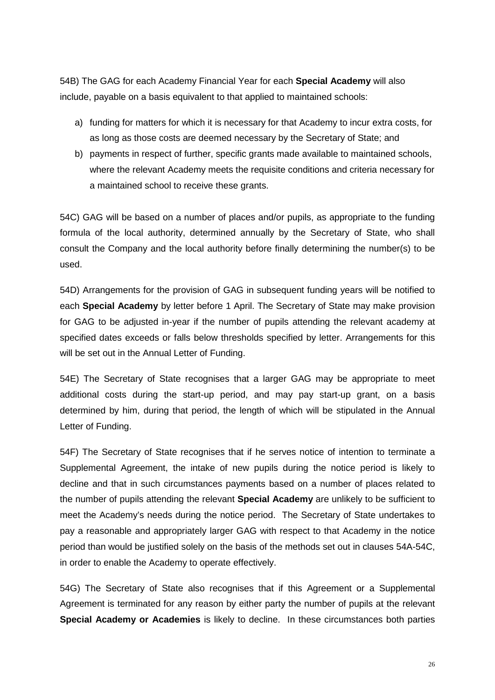54B) The GAG for each Academy Financial Year for each **Special Academy** will also include, payable on a basis equivalent to that applied to maintained schools:

- a) funding for matters for which it is necessary for that Academy to incur extra costs, for as long as those costs are deemed necessary by the Secretary of State; and
- b) payments in respect of further, specific grants made available to maintained schools, where the relevant Academy meets the requisite conditions and criteria necessary for a maintained school to receive these grants.

54C) GAG will be based on a number of places and/or pupils, as appropriate to the funding formula of the local authority, determined annually by the Secretary of State, who shall consult the Company and the local authority before finally determining the number(s) to be used.

54D) Arrangements for the provision of GAG in subsequent funding years will be notified to each **Special Academy** by letter before 1 April. The Secretary of State may make provision for GAG to be adjusted in-year if the number of pupils attending the relevant academy at specified dates exceeds or falls below thresholds specified by letter. Arrangements for this will be set out in the Annual Letter of Funding.

54E) The Secretary of State recognises that a larger GAG may be appropriate to meet additional costs during the start-up period, and may pay start-up grant, on a basis determined by him, during that period, the length of which will be stipulated in the Annual Letter of Funding.

54F) The Secretary of State recognises that if he serves notice of intention to terminate a Supplemental Agreement, the intake of new pupils during the notice period is likely to decline and that in such circumstances payments based on a number of places related to the number of pupils attending the relevant **Special Academy** are unlikely to be sufficient to meet the Academy's needs during the notice period. The Secretary of State undertakes to pay a reasonable and appropriately larger GAG with respect to that Academy in the notice period than would be justified solely on the basis of the methods set out in clauses 54A-54C, in order to enable the Academy to operate effectively.

54G) The Secretary of State also recognises that if this Agreement or a Supplemental Agreement is terminated for any reason by either party the number of pupils at the relevant **Special Academy or Academies** is likely to decline. In these circumstances both parties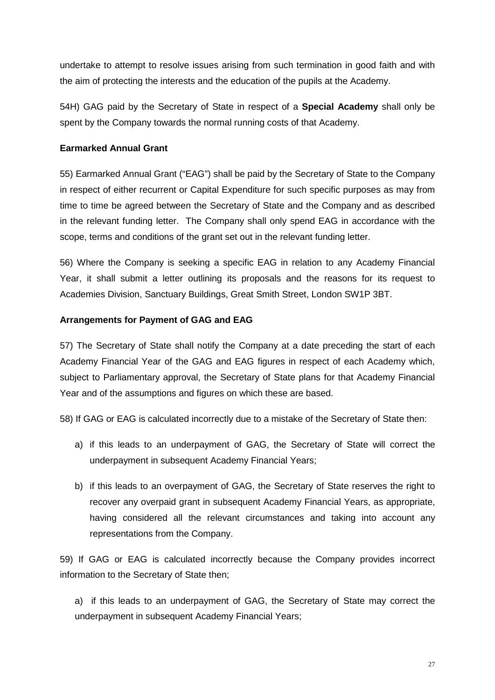undertake to attempt to resolve issues arising from such termination in good faith and with the aim of protecting the interests and the education of the pupils at the Academy.

54H) GAG paid by the Secretary of State in respect of a **Special Academy** shall only be spent by the Company towards the normal running costs of that Academy.

### **Earmarked Annual Grant**

55) Earmarked Annual Grant ("EAG") shall be paid by the Secretary of State to the Company in respect of either recurrent or Capital Expenditure for such specific purposes as may from time to time be agreed between the Secretary of State and the Company and as described in the relevant funding letter. The Company shall only spend EAG in accordance with the scope, terms and conditions of the grant set out in the relevant funding letter.

56) Where the Company is seeking a specific EAG in relation to any Academy Financial Year, it shall submit a letter outlining its proposals and the reasons for its request to Academies Division, Sanctuary Buildings, Great Smith Street, London SW1P 3BT.

#### **Arrangements for Payment of GAG and EAG**

57) The Secretary of State shall notify the Company at a date preceding the start of each Academy Financial Year of the GAG and EAG figures in respect of each Academy which, subject to Parliamentary approval, the Secretary of State plans for that Academy Financial Year and of the assumptions and figures on which these are based.

58) If GAG or EAG is calculated incorrectly due to a mistake of the Secretary of State then:

- a) if this leads to an underpayment of GAG, the Secretary of State will correct the underpayment in subsequent Academy Financial Years;
- b) if this leads to an overpayment of GAG, the Secretary of State reserves the right to recover any overpaid grant in subsequent Academy Financial Years, as appropriate, having considered all the relevant circumstances and taking into account any representations from the Company.

59) If GAG or EAG is calculated incorrectly because the Company provides incorrect information to the Secretary of State then;

a) if this leads to an underpayment of GAG, the Secretary of State may correct the underpayment in subsequent Academy Financial Years;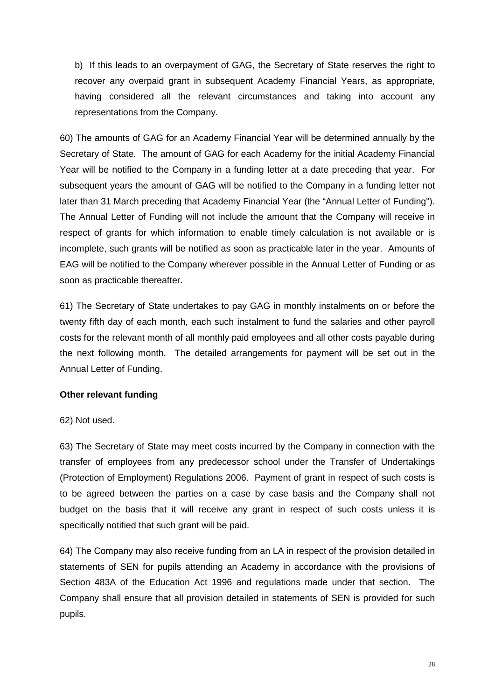b) If this leads to an overpayment of GAG, the Secretary of State reserves the right to recover any overpaid grant in subsequent Academy Financial Years, as appropriate, having considered all the relevant circumstances and taking into account any representations from the Company.

60) The amounts of GAG for an Academy Financial Year will be determined annually by the Secretary of State. The amount of GAG for each Academy for the initial Academy Financial Year will be notified to the Company in a funding letter at a date preceding that year. For subsequent years the amount of GAG will be notified to the Company in a funding letter not later than 31 March preceding that Academy Financial Year (the "Annual Letter of Funding"). The Annual Letter of Funding will not include the amount that the Company will receive in respect of grants for which information to enable timely calculation is not available or is incomplete, such grants will be notified as soon as practicable later in the year. Amounts of EAG will be notified to the Company wherever possible in the Annual Letter of Funding or as soon as practicable thereafter.

61) The Secretary of State undertakes to pay GAG in monthly instalments on or before the twenty fifth day of each month, each such instalment to fund the salaries and other payroll costs for the relevant month of all monthly paid employees and all other costs payable during the next following month. The detailed arrangements for payment will be set out in the Annual Letter of Funding.

#### **Other relevant funding**

#### 62) Not used.

63) The Secretary of State may meet costs incurred by the Company in connection with the transfer of employees from any predecessor school under the Transfer of Undertakings (Protection of Employment) Regulations 2006. Payment of grant in respect of such costs is to be agreed between the parties on a case by case basis and the Company shall not budget on the basis that it will receive any grant in respect of such costs unless it is specifically notified that such grant will be paid.

64) The Company may also receive funding from an LA in respect of the provision detailed in statements of SEN for pupils attending an Academy in accordance with the provisions of Section 483A of the Education Act 1996 and regulations made under that section. The Company shall ensure that all provision detailed in statements of SEN is provided for such pupils.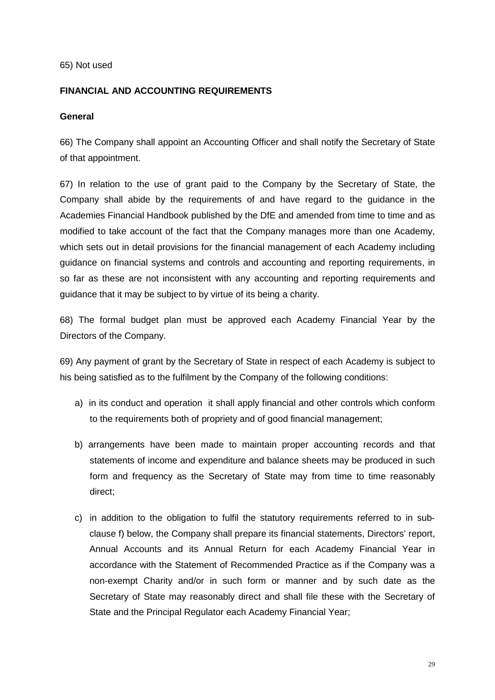#### 65) Not used

### **FINANCIAL AND ACCOUNTING REQUIREMENTS**

#### **General**

66) The Company shall appoint an Accounting Officer and shall notify the Secretary of State of that appointment.

67) In relation to the use of grant paid to the Company by the Secretary of State, the Company shall abide by the requirements of and have regard to the guidance in the Academies Financial Handbook published by the DfE and amended from time to time and as modified to take account of the fact that the Company manages more than one Academy, which sets out in detail provisions for the financial management of each Academy including guidance on financial systems and controls and accounting and reporting requirements, in so far as these are not inconsistent with any accounting and reporting requirements and guidance that it may be subject to by virtue of its being a charity.

68) The formal budget plan must be approved each Academy Financial Year by the Directors of the Company.

69) Any payment of grant by the Secretary of State in respect of each Academy is subject to his being satisfied as to the fulfilment by the Company of the following conditions:

- a) in its conduct and operation it shall apply financial and other controls which conform to the requirements both of propriety and of good financial management;
- b) arrangements have been made to maintain proper accounting records and that statements of income and expenditure and balance sheets may be produced in such form and frequency as the Secretary of State may from time to time reasonably direct;
- c) in addition to the obligation to fulfil the statutory requirements referred to in subclause f) below, the Company shall prepare its financial statements, Directors' report, Annual Accounts and its Annual Return for each Academy Financial Year in accordance with the Statement of Recommended Practice as if the Company was a non-exempt Charity and/or in such form or manner and by such date as the Secretary of State may reasonably direct and shall file these with the Secretary of State and the Principal Regulator each Academy Financial Year;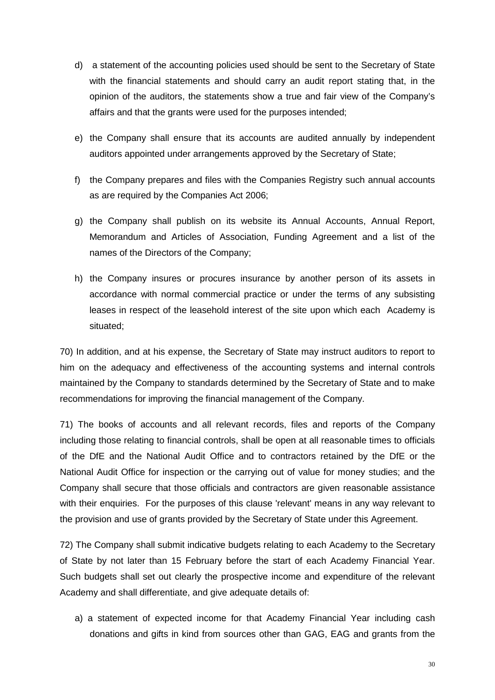- d) a statement of the accounting policies used should be sent to the Secretary of State with the financial statements and should carry an audit report stating that, in the opinion of the auditors, the statements show a true and fair view of the Company's affairs and that the grants were used for the purposes intended;
- e) the Company shall ensure that its accounts are audited annually by independent auditors appointed under arrangements approved by the Secretary of State;
- f) the Company prepares and files with the Companies Registry such annual accounts as are required by the Companies Act 2006;
- g) the Company shall publish on its website its Annual Accounts, Annual Report, Memorandum and Articles of Association, Funding Agreement and a list of the names of the Directors of the Company;
- h) the Company insures or procures insurance by another person of its assets in accordance with normal commercial practice or under the terms of any subsisting leases in respect of the leasehold interest of the site upon which each Academy is situated;

70) In addition, and at his expense, the Secretary of State may instruct auditors to report to him on the adequacy and effectiveness of the accounting systems and internal controls maintained by the Company to standards determined by the Secretary of State and to make recommendations for improving the financial management of the Company.

71) The books of accounts and all relevant records, files and reports of the Company including those relating to financial controls, shall be open at all reasonable times to officials of the DfE and the National Audit Office and to contractors retained by the DfE or the National Audit Office for inspection or the carrying out of value for money studies; and the Company shall secure that those officials and contractors are given reasonable assistance with their enquiries. For the purposes of this clause 'relevant' means in any way relevant to the provision and use of grants provided by the Secretary of State under this Agreement.

72) The Company shall submit indicative budgets relating to each Academy to the Secretary of State by not later than 15 February before the start of each Academy Financial Year. Such budgets shall set out clearly the prospective income and expenditure of the relevant Academy and shall differentiate, and give adequate details of:

a) a statement of expected income for that Academy Financial Year including cash donations and gifts in kind from sources other than GAG, EAG and grants from the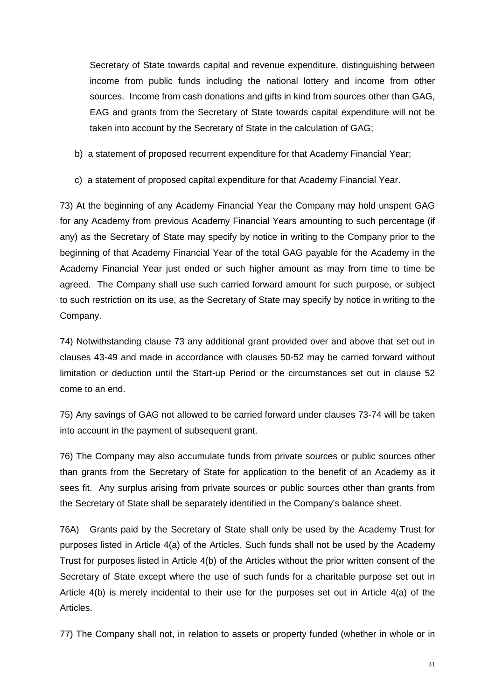Secretary of State towards capital and revenue expenditure, distinguishing between income from public funds including the national lottery and income from other sources. Income from cash donations and gifts in kind from sources other than GAG, EAG and grants from the Secretary of State towards capital expenditure will not be taken into account by the Secretary of State in the calculation of GAG;

- b) a statement of proposed recurrent expenditure for that Academy Financial Year;
- c) a statement of proposed capital expenditure for that Academy Financial Year.

73) At the beginning of any Academy Financial Year the Company may hold unspent GAG for any Academy from previous Academy Financial Years amounting to such percentage (if any) as the Secretary of State may specify by notice in writing to the Company prior to the beginning of that Academy Financial Year of the total GAG payable for the Academy in the Academy Financial Year just ended or such higher amount as may from time to time be agreed. The Company shall use such carried forward amount for such purpose, or subject to such restriction on its use, as the Secretary of State may specify by notice in writing to the Company.

74) Notwithstanding clause 73 any additional grant provided over and above that set out in clauses 43-49 and made in accordance with clauses 50-52 may be carried forward without limitation or deduction until the Start-up Period or the circumstances set out in clause 52 come to an end.

75) Any savings of GAG not allowed to be carried forward under clauses 73-74 will be taken into account in the payment of subsequent grant.

76) The Company may also accumulate funds from private sources or public sources other than grants from the Secretary of State for application to the benefit of an Academy as it sees fit. Any surplus arising from private sources or public sources other than grants from the Secretary of State shall be separately identified in the Company's balance sheet.

76A) Grants paid by the Secretary of State shall only be used by the Academy Trust for purposes listed in Article 4(a) of the Articles. Such funds shall not be used by the Academy Trust for purposes listed in Article 4(b) of the Articles without the prior written consent of the Secretary of State except where the use of such funds for a charitable purpose set out in Article 4(b) is merely incidental to their use for the purposes set out in Article 4(a) of the Articles.

77) The Company shall not, in relation to assets or property funded (whether in whole or in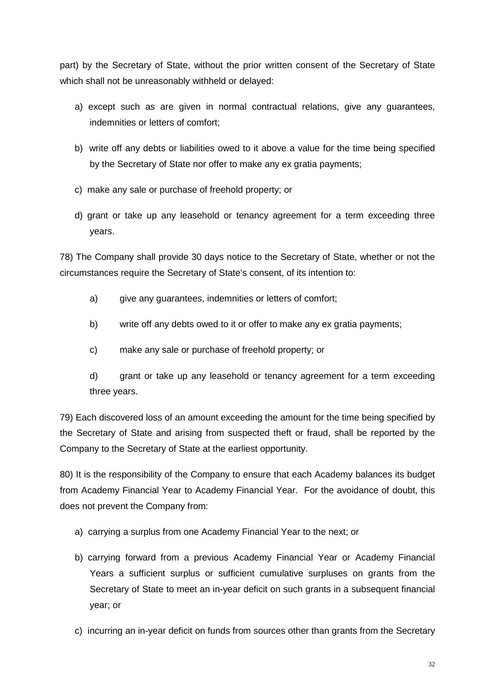part) by the Secretary of State, without the prior written consent of the Secretary of State which shall not be unreasonably withheld or delayed:

- a) except such as are given in normal contractual relations, give any guarantees, indemnities or letters of comfort;
- b) write off any debts or liabilities owed to it above a value for the time being specified by the Secretary of State nor offer to make any ex gratia payments;
- c) make any sale or purchase of freehold property; or
- d) grant or take up any leasehold or tenancy agreement for a term exceeding three years.

78) The Company shall provide 30 days notice to the Secretary of State, whether or not the circumstances require the Secretary of State's consent, of its intention to:

- a) give any quarantees, indemnities or letters of comfort;
- b) write off any debts owed to it or offer to make any ex gratia payments;
- c) make any sale or purchase of freehold property; or

d) grant or take up any leasehold or tenancy agreement for a term exceeding three years.

79) Each discovered loss of an amount exceeding the amount for the time being specified by the Secretary of State and arising from suspected theft or fraud, shall be reported by the Company to the Secretary of State at the earliest opportunity.

80) It is the responsibility of the Company to ensure that each Academy balances its budget from Academy Financial Year to Academy Financial Year. For the avoidance of doubt, this does not prevent the Company from:

- a) carrying a surplus from one Academy Financial Year to the next; or
- b) carrying forward from a previous Academy Financial Year or Academy Financial Years a sufficient surplus or sufficient cumulative surpluses on grants from the Secretary of State to meet an in-year deficit on such grants in a subsequent financial year; or
- c) incurring an in-year deficit on funds from sources other than grants from the Secretary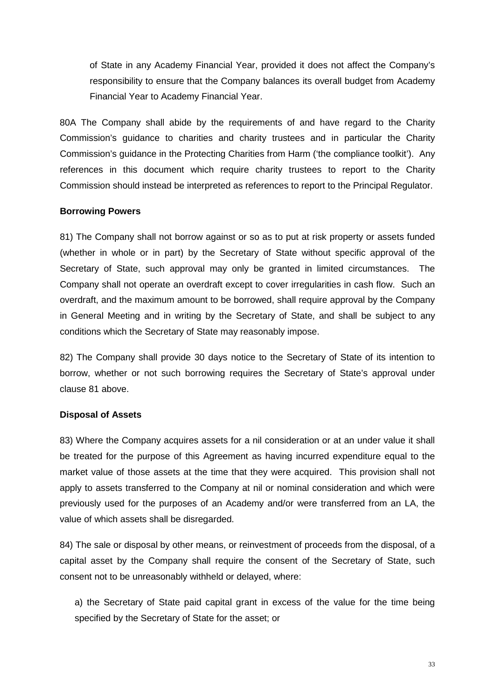of State in any Academy Financial Year, provided it does not affect the Company's responsibility to ensure that the Company balances its overall budget from Academy Financial Year to Academy Financial Year.

80A The Company shall abide by the requirements of and have regard to the Charity Commission's guidance to charities and charity trustees and in particular the Charity Commission's guidance in the Protecting Charities from Harm ('the compliance toolkit'). Any references in this document which require charity trustees to report to the Charity Commission should instead be interpreted as references to report to the Principal Regulator.

#### **Borrowing Powers**

81) The Company shall not borrow against or so as to put at risk property or assets funded (whether in whole or in part) by the Secretary of State without specific approval of the Secretary of State, such approval may only be granted in limited circumstances. The Company shall not operate an overdraft except to cover irregularities in cash flow. Such an overdraft, and the maximum amount to be borrowed, shall require approval by the Company in General Meeting and in writing by the Secretary of State, and shall be subject to any conditions which the Secretary of State may reasonably impose.

82) The Company shall provide 30 days notice to the Secretary of State of its intention to borrow, whether or not such borrowing requires the Secretary of State's approval under clause 81 above.

# **Disposal of Assets**

83) Where the Company acquires assets for a nil consideration or at an under value it shall be treated for the purpose of this Agreement as having incurred expenditure equal to the market value of those assets at the time that they were acquired. This provision shall not apply to assets transferred to the Company at nil or nominal consideration and which were previously used for the purposes of an Academy and/or were transferred from an LA, the value of which assets shall be disregarded.

84) The sale or disposal by other means, or reinvestment of proceeds from the disposal, of a capital asset by the Company shall require the consent of the Secretary of State, such consent not to be unreasonably withheld or delayed, where:

a) the Secretary of State paid capital grant in excess of the value for the time being specified by the Secretary of State for the asset; or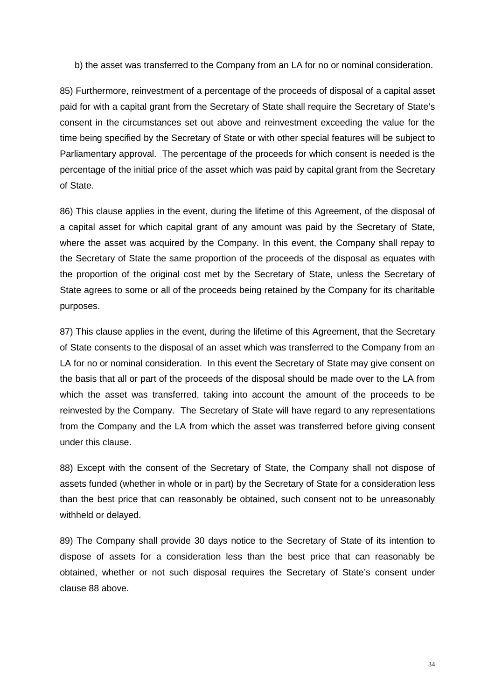b) the asset was transferred to the Company from an LA for no or nominal consideration.

85) Furthermore, reinvestment of a percentage of the proceeds of disposal of a capital asset paid for with a capital grant from the Secretary of State shall require the Secretary of State's consent in the circumstances set out above and reinvestment exceeding the value for the time being specified by the Secretary of State or with other special features will be subject to Parliamentary approval. The percentage of the proceeds for which consent is needed is the percentage of the initial price of the asset which was paid by capital grant from the Secretary of State.

86) This clause applies in the event, during the lifetime of this Agreement, of the disposal of a capital asset for which capital grant of any amount was paid by the Secretary of State, where the asset was acquired by the Company. In this event, the Company shall repay to the Secretary of State the same proportion of the proceeds of the disposal as equates with the proportion of the original cost met by the Secretary of State, unless the Secretary of State agrees to some or all of the proceeds being retained by the Company for its charitable purposes.

87) This clause applies in the event, during the lifetime of this Agreement, that the Secretary of State consents to the disposal of an asset which was transferred to the Company from an LA for no or nominal consideration. In this event the Secretary of State may give consent on the basis that all or part of the proceeds of the disposal should be made over to the LA from which the asset was transferred, taking into account the amount of the proceeds to be reinvested by the Company. The Secretary of State will have regard to any representations from the Company and the LA from which the asset was transferred before giving consent under this clause.

88) Except with the consent of the Secretary of State, the Company shall not dispose of assets funded (whether in whole or in part) by the Secretary of State for a consideration less than the best price that can reasonably be obtained, such consent not to be unreasonably withheld or delayed.

89) The Company shall provide 30 days notice to the Secretary of State of its intention to dispose of assets for a consideration less than the best price that can reasonably be obtained, whether or not such disposal requires the Secretary of State's consent under clause 88 above.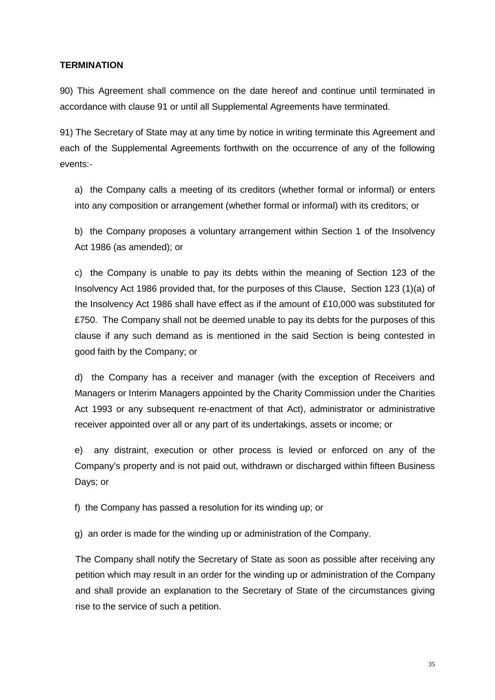### **TERMINATION**

90) This Agreement shall commence on the date hereof and continue until terminated in accordance with clause 91 or until all Supplemental Agreements have terminated.

91) The Secretary of State may at any time by notice in writing terminate this Agreement and each of the Supplemental Agreements forthwith on the occurrence of any of the following events:-

a) the Company calls a meeting of its creditors (whether formal or informal) or enters into any composition or arrangement (whether formal or informal) with its creditors; or

b) the Company proposes a voluntary arrangement within Section 1 of the Insolvency Act 1986 (as amended); or

c) the Company is unable to pay its debts within the meaning of Section 123 of the Insolvency Act 1986 provided that, for the purposes of this Clause, Section 123 (1)(a) of the Insolvency Act 1986 shall have effect as if the amount of £10,000 was substituted for £750. The Company shall not be deemed unable to pay its debts for the purposes of this clause if any such demand as is mentioned in the said Section is being contested in good faith by the Company; or

d) the Company has a receiver and manager (with the exception of Receivers and Managers or Interim Managers appointed by the Charity Commission under the Charities Act 1993 or any subsequent re-enactment of that Act), administrator or administrative receiver appointed over all or any part of its undertakings, assets or income; or

e) any distraint, execution or other process is levied or enforced on any of the Company's property and is not paid out, withdrawn or discharged within fifteen Business Days; or

f) the Company has passed a resolution for its winding up; or

g) an order is made for the winding up or administration of the Company.

The Company shall notify the Secretary of State as soon as possible after receiving any petition which may result in an order for the winding up or administration of the Company and shall provide an explanation to the Secretary of State of the circumstances giving rise to the service of such a petition.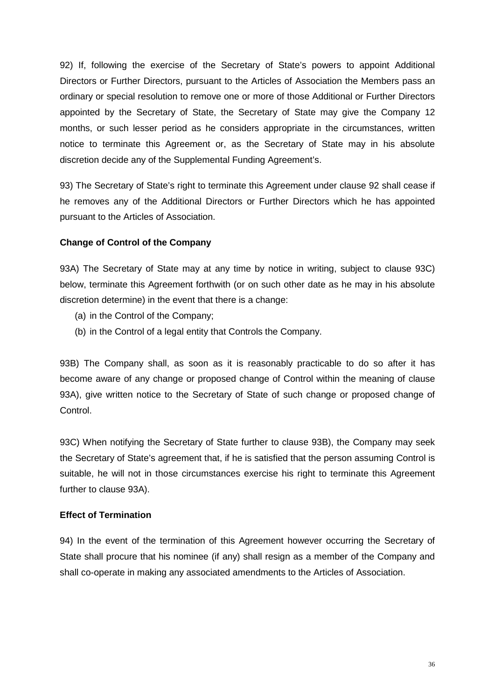92) If, following the exercise of the Secretary of State's powers to appoint Additional Directors or Further Directors, pursuant to the Articles of Association the Members pass an ordinary or special resolution to remove one or more of those Additional or Further Directors appointed by the Secretary of State, the Secretary of State may give the Company 12 months, or such lesser period as he considers appropriate in the circumstances, written notice to terminate this Agreement or, as the Secretary of State may in his absolute discretion decide any of the Supplemental Funding Agreement's.

93) The Secretary of State's right to terminate this Agreement under clause 92 shall cease if he removes any of the Additional Directors or Further Directors which he has appointed pursuant to the Articles of Association.

### **Change of Control of the Company**

93A) The Secretary of State may at any time by notice in writing, subject to clause 93C) below, terminate this Agreement forthwith (or on such other date as he may in his absolute discretion determine) in the event that there is a change:

- (a) in the Control of the Company;
- (b) in the Control of a legal entity that Controls the Company.

93B) The Company shall, as soon as it is reasonably practicable to do so after it has become aware of any change or proposed change of Control within the meaning of clause 93A), give written notice to the Secretary of State of such change or proposed change of Control.

93C) When notifying the Secretary of State further to clause 93B), the Company may seek the Secretary of State's agreement that, if he is satisfied that the person assuming Control is suitable, he will not in those circumstances exercise his right to terminate this Agreement further to clause 93A).

#### **Effect of Termination**

94) In the event of the termination of this Agreement however occurring the Secretary of State shall procure that his nominee (if any) shall resign as a member of the Company and shall co-operate in making any associated amendments to the Articles of Association.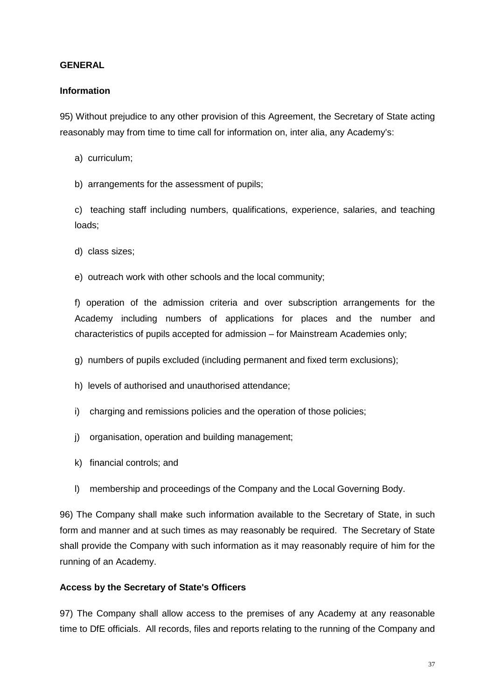#### **GENERAL**

#### **Information**

95) Without prejudice to any other provision of this Agreement, the Secretary of State acting reasonably may from time to time call for information on, inter alia, any Academy's:

- a) curriculum;
- b) arrangements for the assessment of pupils;

c) teaching staff including numbers, qualifications, experience, salaries, and teaching loads;

d) class sizes;

e) outreach work with other schools and the local community;

f) operation of the admission criteria and over subscription arrangements for the Academy including numbers of applications for places and the number and characteristics of pupils accepted for admission – for Mainstream Academies only;

- g) numbers of pupils excluded (including permanent and fixed term exclusions);
- h) levels of authorised and unauthorised attendance;
- i) charging and remissions policies and the operation of those policies;
- j) organisation, operation and building management;
- k) financial controls; and
- l) membership and proceedings of the Company and the Local Governing Body.

96) The Company shall make such information available to the Secretary of State, in such form and manner and at such times as may reasonably be required. The Secretary of State shall provide the Company with such information as it may reasonably require of him for the running of an Academy.

#### **Access by the Secretary of State's Officers**

97) The Company shall allow access to the premises of any Academy at any reasonable time to DfE officials. All records, files and reports relating to the running of the Company and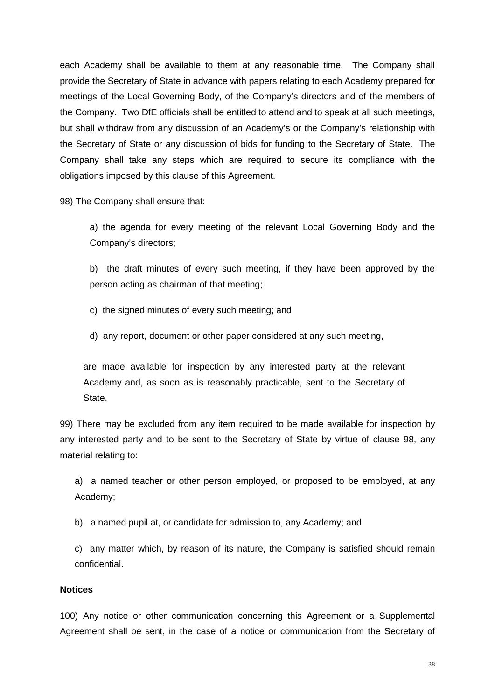each Academy shall be available to them at any reasonable time. The Company shall provide the Secretary of State in advance with papers relating to each Academy prepared for meetings of the Local Governing Body, of the Company's directors and of the members of the Company. Two DfE officials shall be entitled to attend and to speak at all such meetings, but shall withdraw from any discussion of an Academy's or the Company's relationship with the Secretary of State or any discussion of bids for funding to the Secretary of State. The Company shall take any steps which are required to secure its compliance with the obligations imposed by this clause of this Agreement.

98) The Company shall ensure that:

a) the agenda for every meeting of the relevant Local Governing Body and the Company's directors;

b) the draft minutes of every such meeting, if they have been approved by the person acting as chairman of that meeting;

c) the signed minutes of every such meeting; and

d) any report, document or other paper considered at any such meeting,

are made available for inspection by any interested party at the relevant Academy and, as soon as is reasonably practicable, sent to the Secretary of State.

99) There may be excluded from any item required to be made available for inspection by any interested party and to be sent to the Secretary of State by virtue of clause 98, any material relating to:

a) a named teacher or other person employed, or proposed to be employed, at any Academy;

b) a named pupil at, or candidate for admission to, any Academy; and

c) any matter which, by reason of its nature, the Company is satisfied should remain confidential.

#### **Notices**

100) Any notice or other communication concerning this Agreement or a Supplemental Agreement shall be sent, in the case of a notice or communication from the Secretary of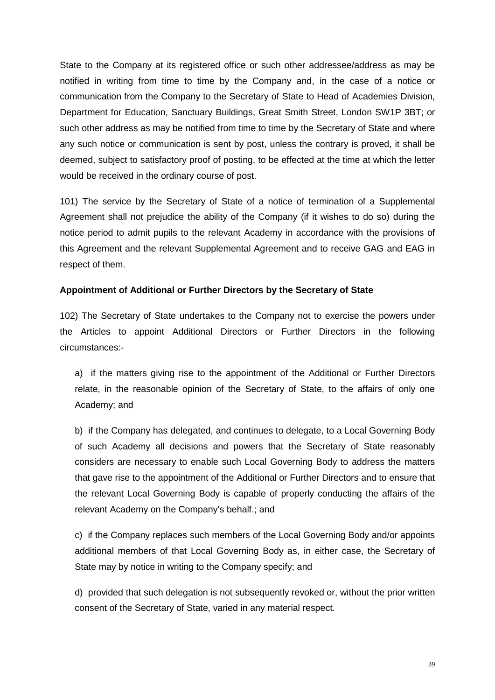State to the Company at its registered office or such other addressee/address as may be notified in writing from time to time by the Company and, in the case of a notice or communication from the Company to the Secretary of State to Head of Academies Division, Department for Education, Sanctuary Buildings, Great Smith Street, London SW1P 3BT; or such other address as may be notified from time to time by the Secretary of State and where any such notice or communication is sent by post, unless the contrary is proved, it shall be deemed, subject to satisfactory proof of posting, to be effected at the time at which the letter would be received in the ordinary course of post.

101) The service by the Secretary of State of a notice of termination of a Supplemental Agreement shall not prejudice the ability of the Company (if it wishes to do so) during the notice period to admit pupils to the relevant Academy in accordance with the provisions of this Agreement and the relevant Supplemental Agreement and to receive GAG and EAG in respect of them.

#### **Appointment of Additional or Further Directors by the Secretary of State**

102) The Secretary of State undertakes to the Company not to exercise the powers under the Articles to appoint Additional Directors or Further Directors in the following circumstances:-

a) if the matters giving rise to the appointment of the Additional or Further Directors relate, in the reasonable opinion of the Secretary of State, to the affairs of only one Academy; and

b) if the Company has delegated, and continues to delegate, to a Local Governing Body of such Academy all decisions and powers that the Secretary of State reasonably considers are necessary to enable such Local Governing Body to address the matters that gave rise to the appointment of the Additional or Further Directors and to ensure that the relevant Local Governing Body is capable of properly conducting the affairs of the relevant Academy on the Company's behalf.; and

c) if the Company replaces such members of the Local Governing Body and/or appoints additional members of that Local Governing Body as, in either case, the Secretary of State may by notice in writing to the Company specify; and

d) provided that such delegation is not subsequently revoked or, without the prior written consent of the Secretary of State, varied in any material respect.